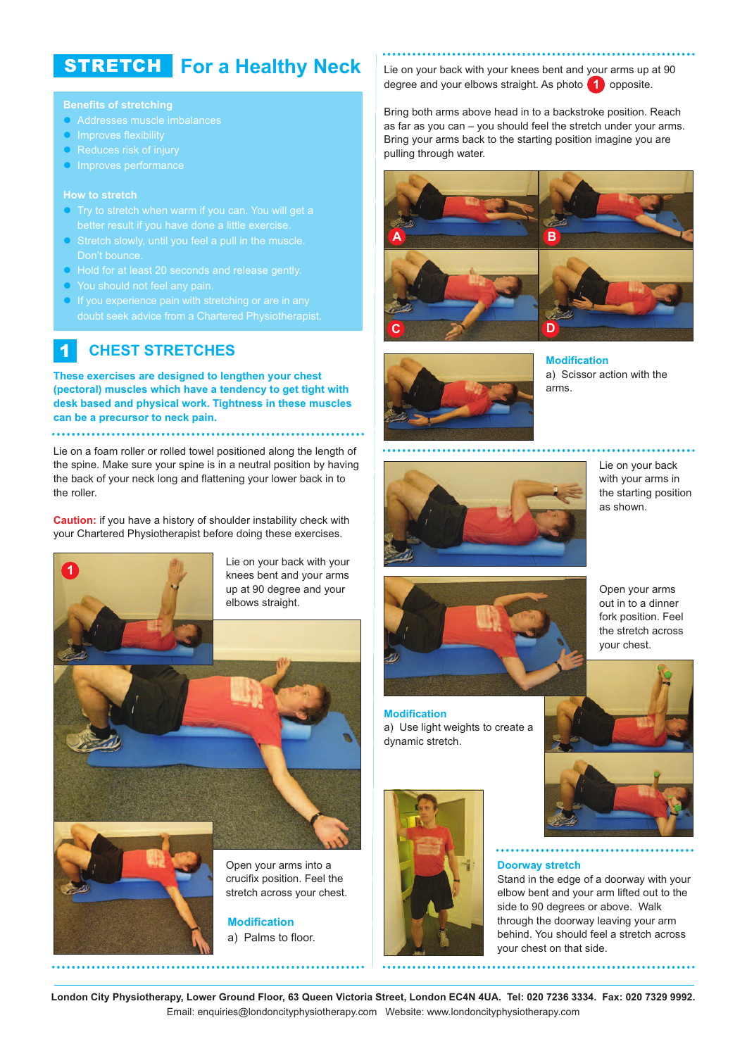# **For a Healthy Neck** STRETCH

### **Benefits of stretching**

- Addresses muscle imbalances
- **Improves flexibility**
- Reduces risk of injury
- **Improves performance**

- Try to stretch when warm if you can. You will get a
- Stretch slowly, until you feel a pull in the muscle. Don't bounce.
- Hold for at least 20 seconds and release gently.
- You should not feel any pain.
- If you experience pain with stretching or are in any

#### **CHEST STRETCHES** 1

**These exercises are designed to lengthen your chest (pectoral) muscles which have a tendency to get tight with desk based and physical work. Tightness in these muscles can be a precursor to neck pain.**

Lie on a foam roller or rolled towel positioned along the length of the spine. Make sure your spine is in a neutral position by having the back of your neck long and flattening your lower back in to the roller.

**Caution:** if you have a history of shoulder instability check with your Chartered Physiotherapist before doing these exercises.



a) Palms to floor.

Lie on your back with your knees bent and your arms up at 90 degree and your elbows straight. As photo **1** opposite.

Bring both arms above head in to a backstroke position. Reach as far as you can – you should feel the stretch under your arms. Bring your arms back to the starting position imagine you are pulling through water.





**Modification** a) Scissor action with the arms.



Lie on your back with your arms in the starting position as shown.



**Modification** a) Use light weights to create a dynamic stretch.



Open your arms out in to a dinner fork position. Feel the stretch across your chest.





. . . . . . . . . . . . . . . . . .

### **Doorway stretch**

Stand in the edge of a doorway with your elbow bent and your arm lifted out to the side to 90 degrees or above. Walk through the doorway leaving your arm behind. You should feel a stretch across your chest on that side.

London City Physiotherapy, Lower Ground Floor, 63 Queen Victoria Street, London EC4N 4UA. Tel: 020 7236 3334. Fax: 020 7329 9992. Email: enquiries@londoncityphysiotherapy.com Website: www.londoncityphysiotherapy.com